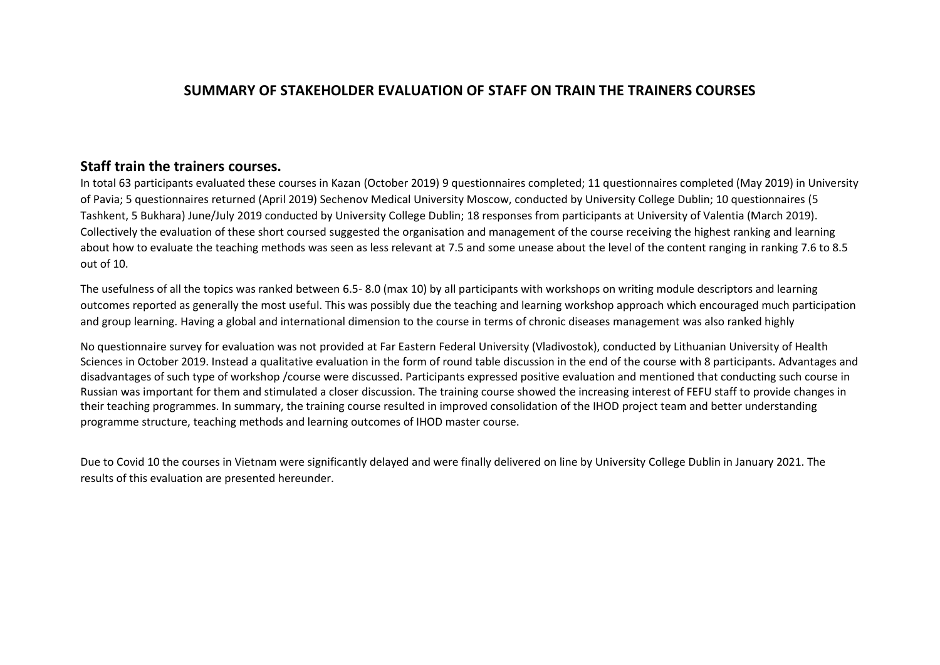## **SUMMARY OF STAKEHOLDER EVALUATION OF STAFF ON TRAIN THE TRAINERS COURSES**

## **Staff train the trainers courses.**

In total 63 participants evaluated these courses in Kazan (October 2019) 9 questionnaires completed; 11 questionnaires completed (May 2019) in University of Pavia; 5 questionnaires returned (April 2019) Sechenov Medical University Moscow, conducted by University College Dublin; 10 questionnaires (5 Tashkent, 5 Bukhara) June/July 2019 conducted by University College Dublin; 18 responses from participants at University of Valentia (March 2019). Collectively the evaluation of these short coursed suggested the organisation and management of the course receiving the highest ranking and learning about how to evaluate the teaching methods was seen as less relevant at 7.5 and some unease about the level of the content ranging in ranking 7.6 to 8.5 out of 10.

The usefulness of all the topics was ranked between 6.5- 8.0 (max 10) by all participants with workshops on writing module descriptors and learning outcomes reported as generally the most useful. This was possibly due the teaching and learning workshop approach which encouraged much participation and group learning. Having a global and international dimension to the course in terms of chronic diseases management was also ranked highly

No questionnaire survey for evaluation was not provided at Far Eastern Federal University (Vladivostok), conducted by Lithuanian University of Health Sciences in October 2019. Instead a qualitative evaluation in the form of round table discussion in the end of the course with 8 participants. Advantages and disadvantages of such type of workshop /course were discussed. Participants expressed positive evaluation and mentioned that conducting such course in Russian was important for them and stimulated a closer discussion. The training course showed the increasing interest of FEFU staff to provide changes in their teaching programmes. In summary, the training course resulted in improved consolidation of the IHOD project team and better understanding programme structure, teaching methods and learning outcomes of IHOD master course.

Due to Covid 10 the courses in Vietnam were significantly delayed and were finally delivered on line by University College Dublin in January 2021. The results of this evaluation are presented hereunder.